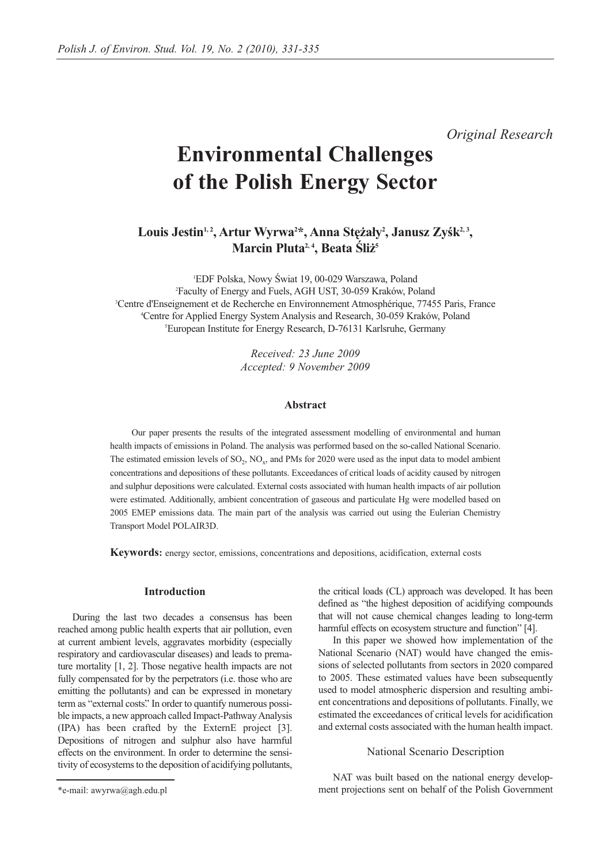*Original Research*

# **Environmental Challenges of the Polish Energy Sector**

Louis Jestin<sup>1, 2</sup>, Artur Wyrwa<sup>2\*</sup>, Anna Stężały<sup>2</sup>, Janusz Zyśk<sup>2, 3</sup>, **Marcin Pluta2, 4, Beata Śliż5**

1 EDF Polska, Nowy Świat 19, 00-029 Warszawa, Poland 2 Faculty of Energy and Fuels, AGH UST, 30-059 Kraków, Poland 3 <sup>3</sup>Centre d'Enseignement et de Recherche en Environnement Atmosphérique, 77455 Paris, France Centre for Applied Energy System Analysis and Research, 30-059 Kraków, Poland 5 European Institute for Energy Research, D-76131 Karlsruhe, Germany

> *Received: 23 June 2009 Accepted: 9 November 2009*

#### **Abstract**

Our paper presents the results of the integrated assessment modelling of environmental and human health impacts of emissions in Poland. The analysis was performed based on the so-called National Scenario. The estimated emission levels of  $SO_2$ ,  $NO_x$ , and PMs for 2020 were used as the input data to model ambient concentrations and depositions of these pollutants. Exceedances of critical loads of acidity caused by nitrogen and sulphur depositions were calculated. External costs associated with human health impacts of air pollution were estimated. Additionally, ambient concentration of gaseous and particulate Hg were modelled based on 2005 EMEP emissions data. The main part of the analysis was carried out using the Eulerian Chemistry Transport Model POLAIR3D.

**Keywords:** energy sector, emissions, concentrations and depositions, acidification, external costs

# **Introduction**

During the last two decades a consensus has been reached among public health experts that air pollution, even at current ambient levels, aggravates morbidity (especially respiratory and cardiovascular diseases) and leads to premature mortality [1, 2]. Those negative health impacts are not fully compensated for by the perpetrators (i.e. those who are emitting the pollutants) and can be expressed in monetary term as "external costs." In order to quantify numerous possible impacts, a new approach called Impact-Pathway Analysis (IPA) has been crafted by the ExternE project [3]. Depositions of nitrogen and sulphur also have harmful effects on the environment. In order to determine the sensitivity of ecosystems to the deposition of acidifying pollutants, the critical loads (CL) approach was developed. It has been defined as "the highest deposition of acidifying compounds that will not cause chemical changes leading to long-term harmful effects on ecosystem structure and function" [4].

In this paper we showed how implementation of the National Scenario (NAT) would have changed the emissions of selected pollutants from sectors in 2020 compared to 2005. These estimated values have been subsequently used to model atmospheric dispersion and resulting ambient concentrations and depositions of pollutants. Finally, we estimated the exceedances of critical levels for acidification and external costs associated with the human health impact.

## National Scenario Description

NAT was built based on the national energy development projections sent on behalf of the Polish Government

<sup>\*</sup>e-mail: awyrwa@agh.edu.pl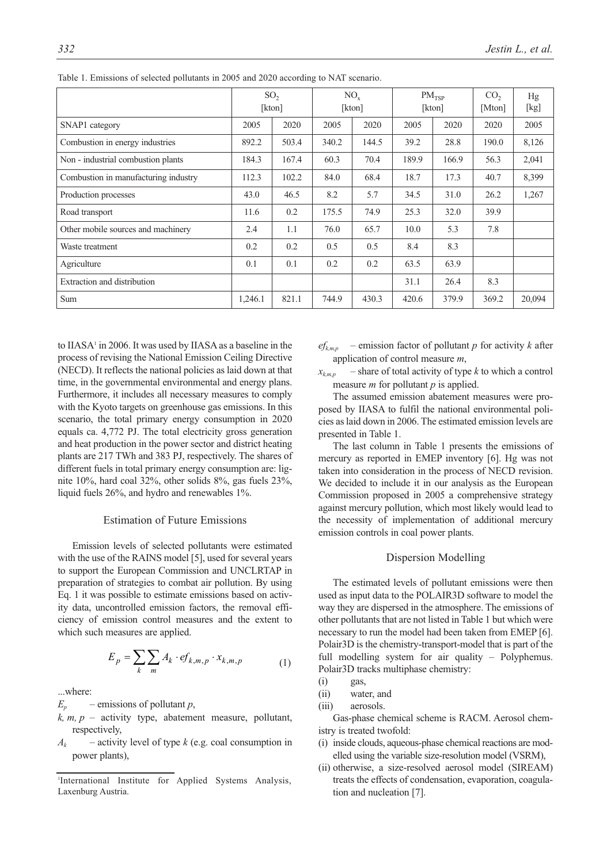|                                      | SO <sub>2</sub><br>[kton] |       | $NO_{x}$<br>[kton] |       | PM <sub>TSP</sub><br>[kton] |       | CO <sub>2</sub><br>[Mton] | Hg<br>[kg] |
|--------------------------------------|---------------------------|-------|--------------------|-------|-----------------------------|-------|---------------------------|------------|
| SNAP1 category                       | 2005                      | 2020  | 2005               | 2020  | 2005                        | 2020  | 2020                      | 2005       |
| Combustion in energy industries      | 892.2                     | 503.4 | 340.2              | 144.5 | 39.2                        | 28.8  | 190.0                     | 8,126      |
| Non - industrial combustion plants   | 184.3                     | 167.4 | 60.3               | 70.4  | 189.9                       | 166.9 | 56.3                      | 2,041      |
| Combustion in manufacturing industry | 112.3                     | 102.2 | 84.0               | 68.4  | 18.7                        | 17.3  | 40.7                      | 8,399      |
| Production processes                 | 43.0                      | 46.5  | 8.2                | 5.7   | 34.5                        | 31.0  | 26.2                      | 1,267      |
| Road transport                       | 11.6                      | 0.2   | 175.5              | 74.9  | 25.3                        | 32.0  | 39.9                      |            |
| Other mobile sources and machinery   | 2.4                       | 1.1   | 76.0               | 65.7  | 10.0                        | 5.3   | 7.8                       |            |
| Waste treatment                      | 0.2                       | 0.2   | 0.5                | 0.5   | 8.4                         | 8.3   |                           |            |
| Agriculture                          | 0.1                       | 0.1   | 0.2                | 0.2   | 63.5                        | 63.9  |                           |            |
| Extraction and distribution          |                           |       |                    |       | 31.1                        | 26.4  | 8.3                       |            |
| Sum                                  | 1,246.1                   | 821.1 | 744.9              | 430.3 | 420.6                       | 379.9 | 369.2                     | 20,094     |

Table 1. Emissions of selected pollutants in 2005 and 2020 according to NAT scenario.

to IIASA<sup>1</sup> in 2006. It was used by IIASA as a baseline in the process of revising the National Emission Ceiling Directive (NECD). It reflects the national policies as laid down at that time, in the governmental environmental and energy plans. Furthermore, it includes all necessary measures to comply with the Kyoto targets on greenhouse gas emissions. In this scenario, the total primary energy consumption in 2020 equals ca. 4,772 PJ. The total electricity gross generation and heat production in the power sector and district heating plants are 217 TWh and 383 PJ, respectively. The shares of different fuels in total primary energy consumption are: lignite 10%, hard coal 32%, other solids 8%, gas fuels 23%, liquid fuels 26%, and hydro and renewables 1%.

# Estimation of Future Emissions

Emission levels of selected pollutants were estimated with the use of the RAINS model [5], used for several years to support the European Commission and UNCLRTAP in preparation of strategies to combat air pollution. By using Eq. 1 it was possible to estimate emissions based on activity data, uncontrolled emission factors, the removal efficiency of emission control measures and the extent to which such measures are applied.

$$
E_p = \sum_k \sum_m A_k \cdot ef_{k,m,p} \cdot x_{k,m,p} \tag{1}
$$

...where:

 $E_p$  – emissions of pollutant *p*,

- $k, m, p$  activity type, abatement measure, pollutant, respectively,
- $A_k$  activity level of type *k* (e.g. coal consumption in power plants),
- $ef_{k,m,p}$  emission factor of pollutant *p* for activity *k* after application of control measure *m*,
- $x_{k+m,p}$  share of total activity of type *k* to which a control measure *m* for pollutant *p* is applied.

The assumed emission abatement measures were proposed by IIASA to fulfil the national environmental policies as laid down in 2006. The estimated emission levels are presented in Table 1.

The last column in Table 1 presents the emissions of mercury as reported in EMEP inventory [6]. Hg was not taken into consideration in the process of NECD revision. We decided to include it in our analysis as the European Commission proposed in 2005 a comprehensive strategy against mercury pollution, which most likely would lead to the necessity of implementation of additional mercury emission controls in coal power plants.

### Dispersion Modelling

The estimated levels of pollutant emissions were then used as input data to the POLAIR3D software to model the way they are dispersed in the atmosphere. The emissions of other pollutants that are not listed in Table 1 but which were necessary to run the model had been taken from EMEP [6]. Polair3D is the chemistry-transport-model that is part of the full modelling system for air quality – Polyphemus. Polair3D tracks multiphase chemistry:

- $(i)$  gas,
- (ii) water, and
- (iii) aerosols.

Gas-phase chemical scheme is RACM. Aerosol chemistry is treated twofold:

- (i) inside clouds, aqueous-phase chemical reactions are modelled using the variable size-resolution model (VSRM),
- (ii) otherwise, a size-resolved aerosol model (SIREAM) treats the effects of condensation, evaporation, coagulation and nucleation [7].

<sup>1</sup> International Institute for Applied Systems Analysis, Laxenburg Austria.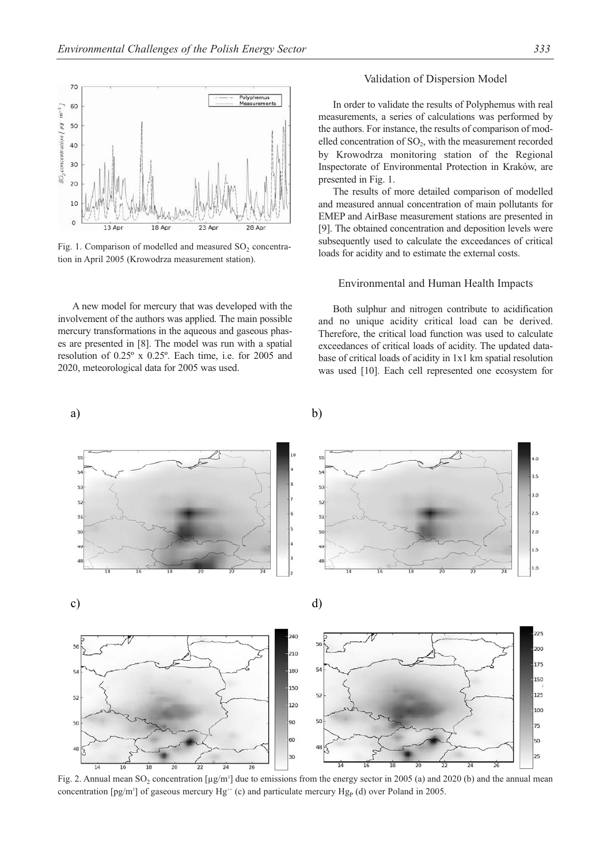

Fig. 1. Comparison of modelled and measured  $SO<sub>2</sub>$  concentration in April 2005 (Krowodrza measurement station).

A new model for mercury that was developed with the involvement of the authors was applied. The main possible mercury transformations in the aqueous and gaseous phases are presented in [8]. The model was run with a spatial resolution of 0.25º x 0.25º. Each time, i.e. for 2005 and 2020, meteorological data for 2005 was used.

## Validation of Dispersion Model

In order to validate the results of Polyphemus with real measurements, a series of calculations was performed by the authors. For instance, the results of comparison of modelled concentration of  $SO_2$ , with the measurement recorded by Krowodrza monitoring station of the Regional Inspectorate of Environmental Protection in Kraków, are presented in Fig. 1.

The results of more detailed comparison of modelled and measured annual concentration of main pollutants for EMEP and AirBase measurement stations are presented in [9]. The obtained concentration and deposition levels were subsequently used to calculate the exceedances of critical loads for acidity and to estimate the external costs.

## Environmental and Human Health Impacts

Both sulphur and nitrogen contribute to acidification and no unique acidity critical load can be derived. Therefore, the critical load function was used to calculate exceedances of critical loads of acidity. The updated database of critical loads of acidity in 1x1 km spatial resolution was used [10]. Each cell represented one ecosystem for

a) b)



Fig. 2. Annual mean SO<sub>2</sub> concentration [ $\mu$ g/m<sup>3</sup>] due to emissions from the energy sector in 2005 (a) and 2020 (b) and the annual mean concentration  $[pg/m^3]$  of gaseous mercury Hg<sup>++</sup> (c) and particulate mercury Hg<sub>P</sub> (d) over Poland in 2005.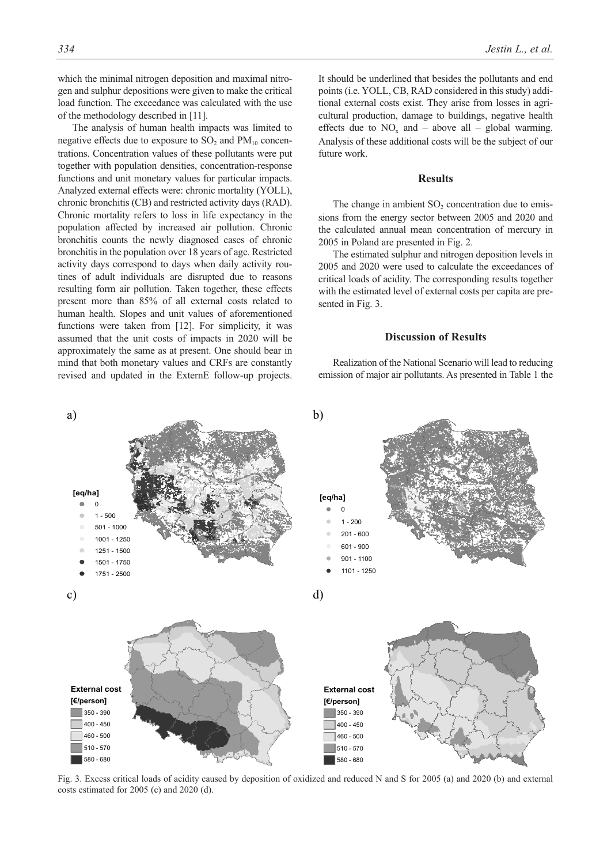future work.

load function. The exceedance was calculated with the use

The analysis of human health impacts was limited to negative effects due to exposure to  $SO_2$  and  $PM_{10}$  concentrations. Concentration values of these pollutants were put together with population densities, concentration-response functions and unit monetary values for particular impacts. Analyzed external effects were: chronic mortality (YOLL), chronic bronchitis (CB) and restricted activity days (RAD). Chronic mortality refers to loss in life expectancy in the population affected by increased air pollution. Chronic bronchitis counts the newly diagnosed cases of chronic bronchitis in the population over 18 years of age. Restricted activity days correspond to days when daily activity routines of adult individuals are disrupted due to reasons resulting form air pollution. Taken together, these effects present more than 85% of all external costs related to human health. Slopes and unit values of aforementioned functions were taken from [12]. For simplicity, it was assumed that the unit costs of impacts in 2020 will be approximately the same as at present. One should bear in mind that both monetary values and CRFs are constantly revised and updated in the ExternE follow-up projects.

of the methodology described in [11].

## **Results**

effects due to  $NO_x$  and – above all – global warming. Analysis of these additional costs will be the subject of our

The change in ambient  $SO<sub>2</sub>$  concentration due to emissions from the energy sector between 2005 and 2020 and the calculated annual mean concentration of mercury in 2005 in Poland are presented in Fig. 2.

The estimated sulphur and nitrogen deposition levels in 2005 and 2020 were used to calculate the exceedances of critical loads of acidity. The corresponding results together with the estimated level of external costs per capita are presented in Fig. 3.

# **Discussion of Results**

Realization of the National Scenario will lead to reducing emission of major air pollutants. As presented in Table 1 the



Fig. 3. Excess critical loads of acidity caused by deposition of oxidized and reduced N and S for 2005 (a) and 2020 (b) and external costs estimated for 2005 (c) and 2020 (d).